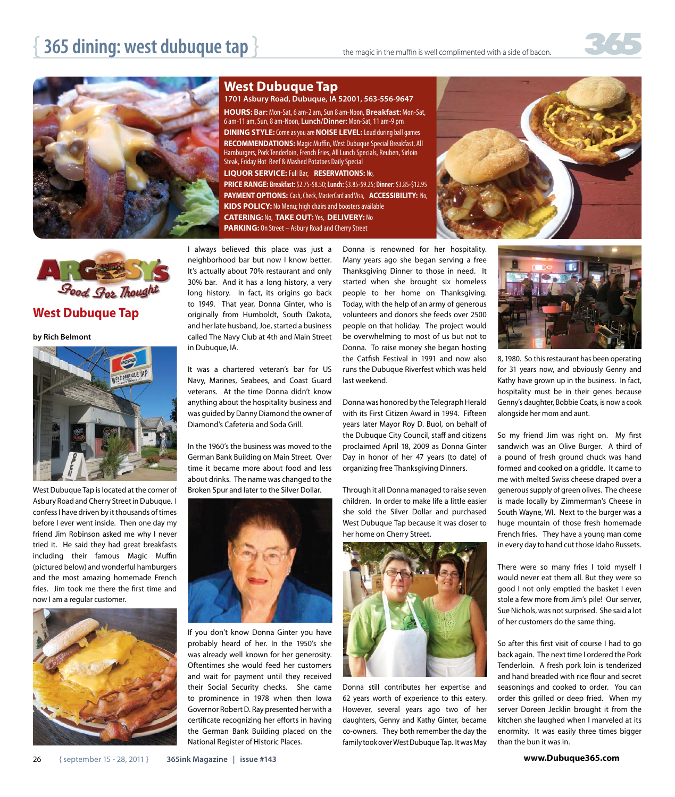



**West Dubuque Tap**

**by Rich Belmont** 



West Dubuque Tap is located at the corner of Asbury Road and Cherry Street in Dubuque. I confess I have driven by it thousands of times before I ever went inside. Then one day my friend Jim Robinson asked me why I never tried it. He said they had great breakfasts including their famous Magic Muffin (pictured below) and wonderful hamburgers and the most amazing homemade French fries. Jim took me there the first time and now I am a regular customer.



## **West Dubuque Tap**

1701 Asbury Road, Dubuque, IA 52001, 563-556-9647 HOURS: Bar: Mon-Sat, 6 am-2 am, Sun 8 am-Noon, Breakfast: Mon-Sat, 6 am-11 am, Sun, 8 am-Noon, Lunch/Dinner: Mon-Sat, 11 am-9 pm **DINING STYLE:** Come as you are **NOISE LEVEL:** Loud during ball games RECOMMENDATIONS: Magic Muffin, West Dubuque Special Breakfast, All Hamburgers, Pork Tenderloin, French Fries, All Lunch Specials, Reuben, Sirloin Steak, Friday Hot Beef & Mashed Potatoes Daily Special LIQUOR SERVICE: Full Bar, RESERVATIONS: No,

**PRICE RANGE: Breakfast: \$2.75-\$8.50; Lunch: \$3.85-\$9.25; Dinner: \$3.85-\$12.95 PAYMENT OPTIONS:** Cash, Check, MasterCard and Visa, **ACCESSIBILITY:** No, KIDS POLICY: No Menu; high chairs and boosters available **CATERING:** No, **TAKE OUT:**Yes, **DELIVERY:** No **PARKING:** On Street - Asbury Road and Cherry Street

I always believed this place was just a neighborhood bar but now I know better. It's actually about 70% restaurant and only 30% bar. And it has a long history, a very long history. In fact, its origins go back to 1949. That year, Donna Ginter, who is originally from Humboldt, South Dakota, and her late husband, Joe, started a business called The Navy Club at 4th and Main Street in Dubuque, IA.

It was a chartered veteran's bar for US Navy, Marines, Seabees, and Coast Guard veterans. At the time Donna didn't know anything about the hospitality business and was guided by Danny Diamond the owner of Diamond's Cafeteria and Soda Grill.

In the 1960's the business was moved to the German Bank Building on Main Street. Over time it became more about food and less about drinks. The name was changed to the Broken Spur and later to the Silver Dollar.



If you don't know Donna Ginter you have probably heard of her. In the 1950's she was already well known for her generosity. Oftentimes she would feed her customers and wait for payment until they received their Social Security checks. She came to prominence in 1978 when then Iowa Governor Robert D. Ray presented her with a certificate recognizing her efforts in having the German Bank Building placed on the National Register of Historic Places.

Donna is renowned for her hospitality. Many years ago she began serving a free Thanksgiving Dinner to those in need. It started when she brought six homeless people to her home on Thanksgiving. Today, with the help of an army of generous volunteers and donors she feeds over 2500 people on that holiday. The project would be overwhelming to most of us but not to Donna. To raise money she began hosting the Catfish Festival in 1991 and now also runs the Dubuque Riverfest which was held last weekend.

Donna was honored by the Telegraph Herald with its First Citizen Award in 1994. Fifteen years later Mayor Roy D. Buol, on behalf of the Dubuque City Council, staff and citizens proclaimed April 18, 2009 as Donna Ginter Day in honor of her 47 years (to date) of organizing free Thanksgiving Dinners.

Through it all Donna managed to raise seven children. In order to make life a little easier she sold the Silver Dollar and purchased West Dubuque Tap because it was closer to her home on Cherry Street.



Donna still contributes her expertise and 62 years worth of experience to this eatery. However, several years ago two of her daughters, Genny and Kathy Ginter, became co-owners. They both remember the day the family took over West Dubuque Tap. It was May





8, 1980. So this restaurant has been operating for 31 years now, and obviously Genny and Kathy have grown up in the business. In fact, hospitality must be in their genes because Genny's daughter, Bobbie Coats, is now a cook alongside her mom and aunt.

So my friend Jim was right on. My first sandwich was an Olive Burger. A third of a pound of fresh ground chuck was hand formed and cooked on a griddle. It came to me with melted Swiss cheese draped over a generous supply of green olives. The cheese is made locally by Zimmerman's Cheese in South Wayne, WI. Next to the burger was a huge mountain of those fresh homemade French fries. They have a young man come in every day to hand cut those Idaho Russets.

There were so many fries I told myself I would never eat them all. But they were so good I not only emptied the basket I even stole a few more from Jim's pile! Our server, Sue Nichols, was not surprised. She said a lot of her customers do the same thing.

So after this first visit of course I had to go back again. The next time I ordered the Pork Tenderloin. A fresh pork loin is tenderized and hand breaded with rice flour and secret seasonings and cooked to order. You can order this grilled or deep fried. When my server Doreen Jecklin brought it from the kitchen she laughed when I marveled at its enormity. It was easily three times bigger than the bun it was in.